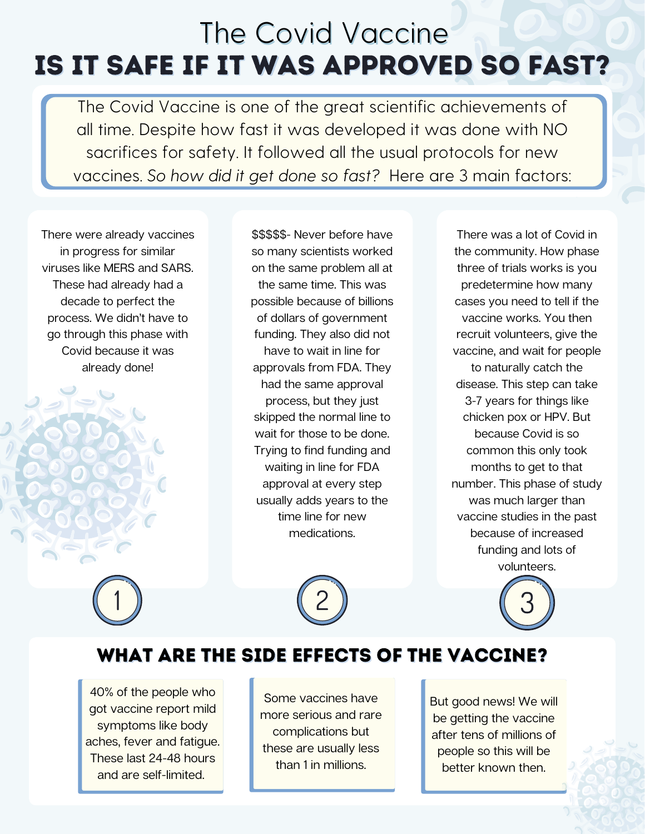# Is it safe if it was approved so fast? The Covid Vaccine

The Covid Vaccine is one of the great scientific achievements of all time. Despite how fast it was developed it was done with NO sacrifices for safety. It followed all the usual protocols for new vaccines. So how did it get done so fast? Here are 3 main factors:

There were already vaccines in progress for similar viruses like MERS and SARS. These had already had a decade to perfect the process. We didn't have to go through this phase with Covid because it was already done!

\$\$\$\$\$- Never before have so many scientists worked on the same problem all at the same time. This was possible because of billions of dollars of government funding. They also did not have to wait in line for approvals from FDA. They had the same approval process, but they just skipped the normal line to wait for those to be done. Trying to find funding and waiting in line for FDA approval at every step usually adds years to the time line for new medications.

There was a lot of Covid in the community. How phase three of trials works is you predetermine how many cases you need to tell if the vaccine works. You then recruit volunteers, give the vaccine, and wait for people to naturally catch the disease. This step can take 3-7 years for things like chicken pox or HPV. But because Covid is so common this only took months to get to that number. This phase of study was much larger than vaccine studies in the past because of increased funding and lots of volunteers.

#### What are the side effects of the vaccine?

40% of the people who got vaccine report mild symptoms like body aches, fever and fatigue. These last 24-48 hours and are self-limited.

Some vaccines have more serious and rare complications but these are usually less than 1 in millions.

But good news! We will be getting the vaccine after tens of millions of people so this will be better known then.